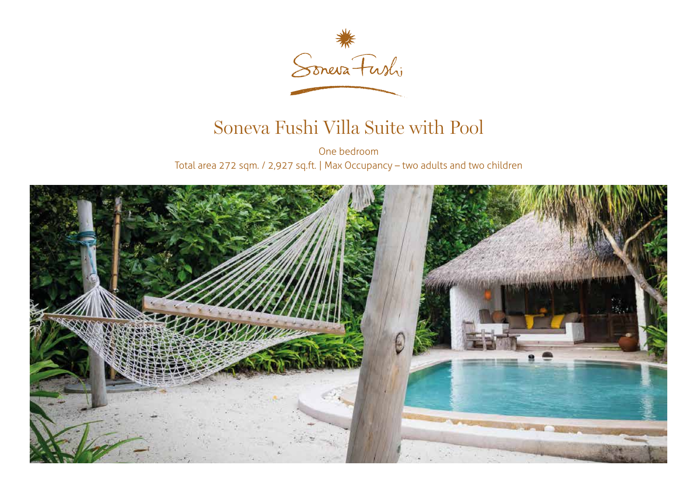

## Soneva Fushi Villa Suite with Pool

One bedroom Total area 272 sqm. / 2,927 sq.ft. | Max Occupancy – two adults and two children

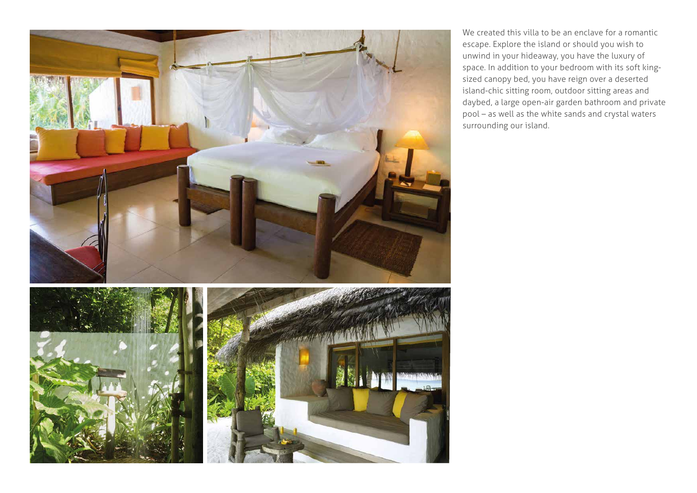

We created this villa to be an enclave for a romantic escape. Explore the island or should you wish to unwind in your hideaway, you have the luxury of space. In addition to your bedroom with its soft kingsized canopy bed, you have reign over a deserted island-chic sitting room, outdoor sitting areas and daybed, a large open-air garden bathroom and private pool – as well as the white sands and crystal waters surrounding our island.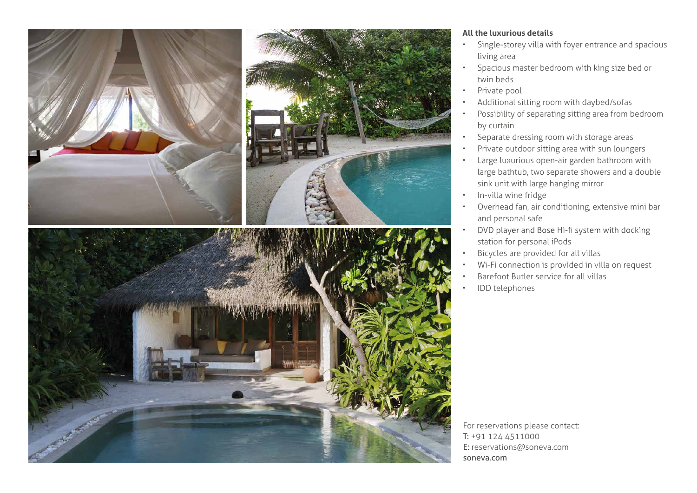





## **All the luxurious details**

- Single-storey villa with foyer entrance and spacious living area
- Spacious master bedroom with king size bed or twin beds
- Private pool
- Additional sitting room with daybed/sofas
- Possibility of separating sitting area from bedroom by curtain
- Separate dressing room with storage areas
- Private outdoor sitting area with sun loungers
- Large luxurious open-air garden bathroom with large bathtub, two separate showers and a double sink unit with large hanging mirror
- In-villa wine fridge
- Overhead fan, air conditioning, extensive mini bar and personal safe
- DVD player and Bose Hi-fi system with docking • station for personal iPods
- Bicycles are provided for all villas
- Wi-Fi connection is provided in villa on request
- Barefoot Butler service for all villas
- IDD telephones

For reservations please contact: T: +91 124 4511000 E: reservations@soneva.com soneva.com